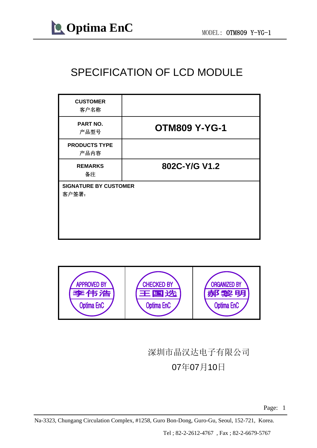#### SPECIFICATION OF LCD MODULE

| <b>CUSTOMER</b><br>客户名称               |                      |
|---------------------------------------|----------------------|
| PART NO.<br>产品型号                      | <b>OTM809 Y-YG-1</b> |
| <b>PRODUCTS TYPE</b><br>产品内容          |                      |
| <b>REMARKS</b><br>备注                  | 802C-Y/G V1.2        |
| <b>SIGNATURE BY CUSTOMER</b><br>客户签署: |                      |



#### 深圳市晶汉达电子有限公司 07年07月10日

Na-3323, Chungang Circulation Complex, #1258, Guro Bon-Dong, Guro-Gu, Seoul, 152-721, Korea.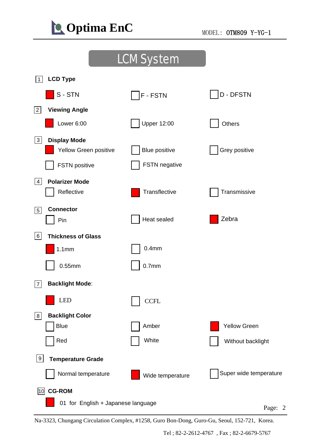

|                                          | <b>LCM System</b>    |                        |
|------------------------------------------|----------------------|------------------------|
| <b>LCD Type</b><br>$1 \vert$             |                      |                        |
| S-STN                                    | F - FSTN             | <b>D-DFSTN</b>         |
| <b>Viewing Angle</b><br> 2               |                      |                        |
| Lower 6:00                               | <b>Upper 12:00</b>   | Others                 |
| 3 <br><b>Display Mode</b>                |                      |                        |
| Yellow Green positive                    | <b>Blue positive</b> | Grey positive          |
| <b>FSTN</b> positive                     | FSTN negative        |                        |
| <b>Polarizer Mode</b><br> 4              |                      |                        |
| Reflective                               | Transflective        | Transmissive           |
| <b>Connector</b><br> 5                   |                      |                        |
| Pin                                      | Heat sealed          | Zebra                  |
| 6 <br><b>Thickness of Glass</b>          |                      |                        |
| 1.1mm                                    | 0.4 <sub>mm</sub>    |                        |
| $0.55$ mm                                | 0.7 <sub>mm</sub>    |                        |
| <b>Backlight Mode:</b><br>$\overline{7}$ |                      |                        |
| <b>LED</b>                               | <b>CCFL</b>          |                        |
| <b>Backlight Color</b><br> 8             |                      |                        |
| <b>Blue</b>                              | Amber                | <b>Yellow Green</b>    |
| Red                                      | White                | Without backlight      |
| 9<br><b>Temperature Grade</b>            |                      |                        |
| Normal temperature                       | Wide temperature     | Super wide temperature |
| <b>CG-ROM</b><br>10                      |                      |                        |
| 01 for English + Japanese language       |                      | Page:                  |

Na-3323, Chungang Circulation Complex, #1258, Guro Bon-Dong, Guro-Gu, Seoul, 152-721, Korea.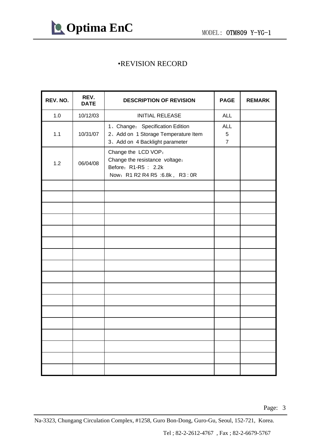

#### •REVISION RECORD

| REV. NO. | REV.<br><b>DATE</b> | <b>DESCRIPTION OF REVISION</b>                                                                                   | <b>PAGE</b>                       | <b>REMARK</b> |
|----------|---------------------|------------------------------------------------------------------------------------------------------------------|-----------------------------------|---------------|
| 1.0      | 10/12/03            | <b>INITIAL RELEASE</b>                                                                                           | <b>ALL</b>                        |               |
| 1.1      | 10/31/07            | 1、Change: Specification Edition<br>2、Add on 1 Storage Temperature Item<br>3、Add on 4 Backlight parameter         | <b>ALL</b><br>5<br>$\overline{7}$ |               |
| 1.2      | 06/04/08            | Change the LCD VOP:<br>Change the resistance voltage:<br>Before: R1-R5 : 2.2k<br>Now: R1 R2 R4 R5 :6.8k, R3 : 0R |                                   |               |
|          |                     |                                                                                                                  |                                   |               |
|          |                     |                                                                                                                  |                                   |               |
|          |                     |                                                                                                                  |                                   |               |
|          |                     |                                                                                                                  |                                   |               |
|          |                     |                                                                                                                  |                                   |               |
|          |                     |                                                                                                                  |                                   |               |
|          |                     |                                                                                                                  |                                   |               |
|          |                     |                                                                                                                  |                                   |               |
|          |                     |                                                                                                                  |                                   |               |
|          |                     |                                                                                                                  |                                   |               |
|          |                     |                                                                                                                  |                                   |               |
|          |                     |                                                                                                                  |                                   |               |
|          |                     |                                                                                                                  |                                   |               |
|          |                     |                                                                                                                  |                                   |               |
|          |                     |                                                                                                                  |                                   |               |
|          |                     |                                                                                                                  |                                   |               |
|          |                     |                                                                                                                  |                                   |               |

Page: 3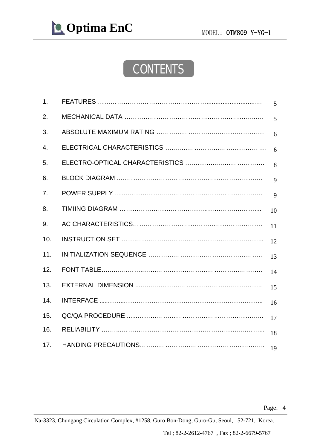### **CONTENTS**

| 1.  | 5               |
|-----|-----------------|
| 2.  | 5               |
| 3.  | $6\overline{6}$ |
| 4.  | $6\overline{6}$ |
| 5.  | 8               |
| 6.  | 9               |
| 7.  | 9               |
| 8.  | 10              |
| 9.  | 11              |
| 10. | 12              |
| 11. | 13              |
| 12. | 14              |
| 13. | 15              |
| 14. | 16              |
| 15. | 17              |
| 16. | 18              |
| 17. | 19              |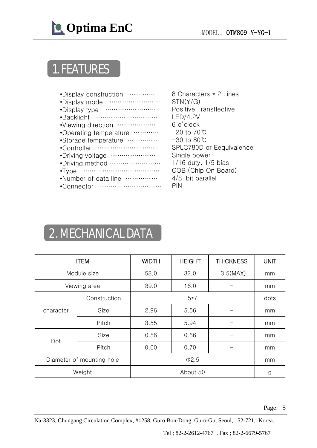

### 1. FEATURES

| •Display construction     |
|---------------------------|
| •Display mode<br>.        |
| .<br>•Display type        |
| .<br>•Backlight           |
| •Viewing direction        |
| •Operating temperature    |
| .<br>•Storage temperature |
| •Controller<br>.          |
| •Driving voltage<br>.     |
| •Driving method<br>.      |
| .<br>$\cdot$ Type         |
| •Number of data line      |
| •Connector                |

8 Characters \* 2 Lines STN(Y/G) Positive Transflective LED/4.2V 6 o'clock -20 to 70℃ -30 to 80℃ SPLC780D or Eequivalence Single power 1/16 duty, 1/5 bias COB (Chip On Board) 4/8-bit parallel PIN

# 2. MECHANICAL DATA

| <b>ITEM</b>               |              | <b>WIDTH</b> | <b>HEIGHT</b> | <b>THICKNESS</b> | <b>UNIT</b> |  |
|---------------------------|--------------|--------------|---------------|------------------|-------------|--|
|                           | Module size  | 58.0         | 32.0          | 13.5(MAX)        | mm          |  |
|                           | Viewing area | 39.0         | 16.0          |                  | mm          |  |
|                           | Construction |              | $5*7$         | dots             |             |  |
| character                 | Size         | 2.96         | 5.56          |                  | mm          |  |
|                           | Pitch        | 3.55         | 5.94          |                  | mm          |  |
|                           | Size         | 0.56         | 0.66          |                  | mm          |  |
| Dot                       | Pitch        | 0.60         | 0.70          |                  | mm          |  |
| Diameter of mounting hole |              | $\Phi$ 2.5   |               |                  | mm          |  |
|                           | Weight       |              | About 50      |                  |             |  |

Page: 5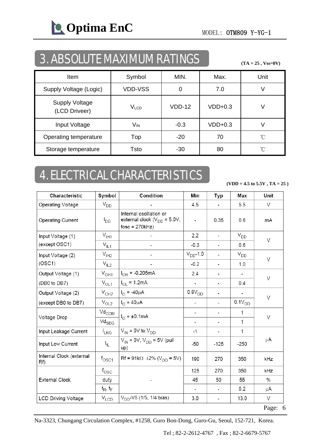**COptima EnC** MODEL: OTM809 Y-YG-1

### 3. ABSOLUTE MAXIMUM RATINGS

**(TA = 25 , Vss=0V)**

| <b>Item</b>                            | Symbol          | MIN.     | Max.      | Unit |
|----------------------------------------|-----------------|----------|-----------|------|
| Supply Voltage (Logic)                 | <b>VDD-VSS</b>  | 0        | 7.0       |      |
| <b>Supply Voltage</b><br>(LCD Driveer) | $V_{LCD}$       | $VDD-12$ | $VDD+0.3$ | V    |
| Input Voltage                          | V <sub>IN</sub> | $-0.3$   | $VDD+0.3$ |      |
| Operating temperature                  | Top             | $-20$    | 70        | °C   |
| Storage temperature                    | Tsto            | $-30$    | 80        | °C   |

### 4. ELECTRICAL CHARACTERISTICS

**(VDD = 4.5 to 5.5V , TA = 25 )**

| Characteristic                  | Symbol                                | Condition                                                                       | Min            | Typ                      | Max           | Unit |  |
|---------------------------------|---------------------------------------|---------------------------------------------------------------------------------|----------------|--------------------------|---------------|------|--|
| Operating Voltage               | $V_{DD}$                              |                                                                                 | 4.5            | $\overline{\phantom{a}}$ | 5.5           | V    |  |
| Operating Current               | $I_{DD}$                              | Internal oscillation or<br>external clock ( $V_{DD}$ = 5.0V,<br>$fosc = 270kHz$ | $\overline{a}$ | 0.35                     | 0.6           | mA   |  |
| Input Voltage (1)               | $V_{\text{I}H1}$                      |                                                                                 | 2.2            | $\overline{\phantom{a}}$ | $V_{DD}$      |      |  |
| (except OSC1)                   | $V_{\parallel L1}$                    |                                                                                 | $-0.3$         | $\overline{\phantom{a}}$ | 0.6           | V    |  |
| Input Voltage (2)               | $V_{I H2}$                            |                                                                                 | $V_{DD}$ -1.0  | $\overline{\phantom{a}}$ | $V_{DD}$      | V    |  |
| (OSC1)                          | $V_{IL2}$                             |                                                                                 | $-0.2$         | $\overline{\phantom{a}}$ | 1.0           |      |  |
| Output Voltage (1)              | $V_{OH1}$                             | $I_{OH} = -0.205mA$                                                             | 2.4            | $\overline{\phantom{a}}$ | $\frac{1}{2}$ |      |  |
| (DB0 to DB7)                    | $V_{OL1}$                             | $I_{OL} = 1.2mA$                                                                |                | $\blacksquare$           | 0.4           | V    |  |
| Output Voltage (2)              | $V_{OH2}$                             | $I_{\Omega} = -40 \mu A$                                                        | $0.9V_{DD}$    | -                        |               | V    |  |
| (except DB0 to DB7)             | $V_{OL2}$                             | $I_{\Omega} = 40 \mu A$                                                         |                | $\overline{\phantom{a}}$ | $0.1V_{DD}$   |      |  |
| Voltage Drop                    | $\mathrm{Vd}_{\mathrm{COM}}$          | $I_{\Omega}$ = ±0.1mA                                                           | -              | $\overline{\phantom{a}}$ | 1             | V    |  |
|                                 | $\mathrm{Vd}_{\mathrm{SEG}}$          |                                                                                 | -              | $\overline{\phantom{a}}$ | 1             |      |  |
| Input Leakage Current           | $I_{LKG}$                             | $V_{IN}$ = 0V to $V_{DD}$                                                       | $-1$           | $\blacksquare$           | 1             |      |  |
| Input Low Current               | IL.                                   | $V_{IN}$ = 0V, $V_{DD}$ = 5V (pull<br>up)                                       | -50            | $-125$                   | $-250$        | μA   |  |
| Internal Clock (external<br>Rf) | $\mathsf{f}_{\mathsf{O}\mathsf{SC}1}$ | $Rf = 91k\Omega \pm 2\% (V_{DD} = 5V)$                                          | 190            | 270                      | 350           | kHz  |  |
|                                 | $f_{\rm OSC}$                         |                                                                                 | 125            | 270                      | 350           | kHz  |  |
| <b>External Clock</b>           | duty                                  |                                                                                 | 45             | 50                       | 55            | $\%$ |  |
|                                 | $t_R$ , $t_F$                         |                                                                                 |                | $\overline{\phantom{a}}$ | 0.2           | μA   |  |
| <b>LCD Driving Voltage</b>      | $V_{LCD}$                             | $V_{DD}$ -V5 (1/5, 1/4 bias)                                                    | 3.0            | $\overline{\phantom{a}}$ | 13.0          | V    |  |

Page: 6

Na-3323, Chungang Circulation Complex, #1258, Guro Bon-Dong, Guro-Gu, Seoul, 152-721, Korea.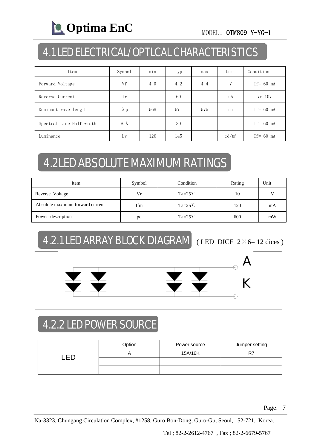# **C** Optima EnC MODEL: OTM809 Y-YG-1

### 4.1 LED ELECTRICAL/OPTLCAL CHARACTERISTICS

| Item                     | Symbol             | min | typ | max | Unit            | Condition    |  |
|--------------------------|--------------------|-----|-----|-----|-----------------|--------------|--|
| Forward Voltage          | Vf                 | 4.0 | 4.2 | 4.4 | V               | $If = 60$ mA |  |
| Reverse Current          | Ir                 |     | 60  |     | uA              | $Vr = 10V$   |  |
| Dominant wave length     | $\lambda$ p        | 568 | 571 | 575 | nm              | $If=60$ mA   |  |
| Spectral Line Half width | $\Delta$ $\lambda$ |     | 30  |     |                 | $If=60$ mA   |  |
| Luminance                | Lv                 | 120 | 145 |     | $\text{cd/m}^2$ | $If=60$ mA   |  |

# 4.2LED ABSOLUTE MAXIMUM RATINGS

| Item                             | Symbol | Condition        | Rating | Unit |
|----------------------------------|--------|------------------|--------|------|
| Reverse Voltage                  | Vr     | $Ta=25^{\circ}C$ | 10     |      |
| Absolute maximum forward current | Ifm    | $Ta=25^{\circ}C$ | 120    | mA   |
| Power description                | pd     | $Ta=25^{\circ}C$ | 600    | mW   |

### 4.2.1 LED ARRAY BLOCK DIAGRAM (LED DICE 2×6=12 dices)



### 4.2.2 LED POWER SOURCE

|  | Option | Power source | Jumper setting |
|--|--------|--------------|----------------|
|  |        | 15A/16K      |                |
|  |        |              |                |
|  |        |              |                |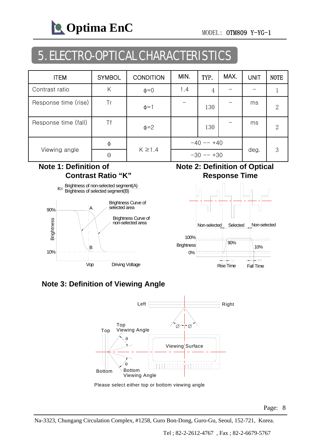**C** Optima EnC MODEL: OTM809 Y-YG-1

### 5. ELECTRO-OPTICAL CHARACTERISTICS

| <b>ITEM</b>          | <b>SYMBOL</b> | <b>CONDITION</b> | MIN.        | TYP. | MAX. | <b>UNIT</b> | <b>NOTE</b>    |
|----------------------|---------------|------------------|-------------|------|------|-------------|----------------|
| Contrast ratio       | Κ             | $\phi = 0$       | 1.4         | 4    |      |             |                |
| Response time (rise) | Tr            | $\phi = 1$       |             | 130  |      | ms          | $\overline{2}$ |
| Response time (fall) | Τf            | $\phi = 2$       |             | 130  |      | ms          | $\overline{2}$ |
|                      | φ             |                  | $-40 - +40$ |      |      |             |                |
| Viewing angle        | $\Theta$      | $K \geq 1.4$     | $-30 - +30$ |      |      | deg.        | 3              |

#### **Note 1: Definition of Contrast Ratio "K"**



#### **Note 2: Definition of Optical Response Time**



#### **Note 3: Definition of Viewing Angle**



Please select either top or bottom viewing angle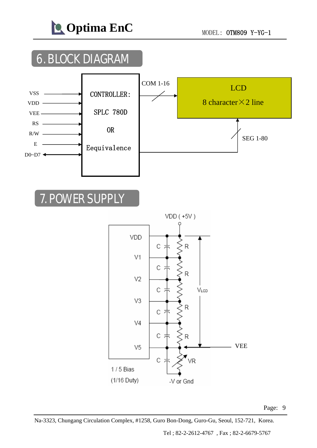

### 7. POWER SUPPLY



Na-3323, Chungang Circulation Complex, #1258, Guro Bon-Dong, Guro-Gu, Seoul, 152-721, Korea.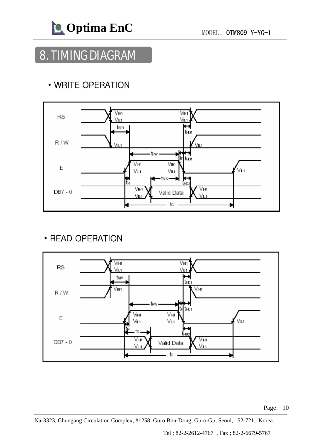### 8. TIMING DIAGRAM

#### • WRITE OPERATION



#### • READ OPERATION



Page: 10

Na-3323, Chungang Circulation Complex, #1258, Guro Bon-Dong, Guro-Gu, Seoul, 152-721, Korea.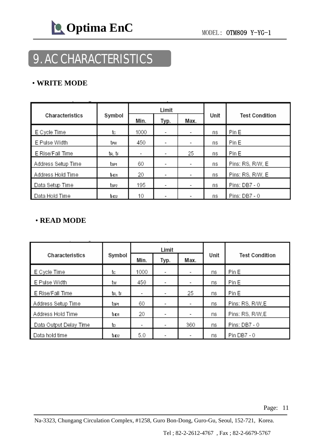### 9. AC CHARACTERISTICS

#### • **WRITE MODE**

|                    |               |                | Limit |      |      |                       |  |
|--------------------|---------------|----------------|-------|------|------|-----------------------|--|
| Characteristics    | Symbol        | Min.           | Typ.  | Max. | Unit | <b>Test Condition</b> |  |
| E Cycle Time       | tc            | 1000           | ٠     |      | ns   | Pin E                 |  |
| E Pulse Width      | tew           | 450            | ٠     | ٠    | ns   | Pin E                 |  |
| E Rise/Fall Time   | tr, tr        | $\blacksquare$ | ٠     | 25   | ns   | Pin E                 |  |
| Address Setup Time | tsei          | 60             |       |      | ns   | Pins: RS, R/W, E      |  |
| Address Hold Time  | thd1          | 20             | ٠     |      | ns   | Pins: RS, R/W, E      |  |
| Data Setup Time    | tsez          | 195            | ٠     |      | ns   | Pins: DB7 - 0         |  |
| Data Hold Time     | <b>b</b> -ID2 | 10             |       |      | ns   | Pins: DB7 - 0         |  |

#### • **READ MODE**

|                        |          |      | Limit                    |                          |      |                       |  |
|------------------------|----------|------|--------------------------|--------------------------|------|-----------------------|--|
| Characteristics        | Symbol   | Min. | Typ.                     | Max.                     | Unit | <b>Test Condition</b> |  |
| E Cycle Time           | tc       | 1000 | $\overline{\phantom{a}}$ | $\overline{\phantom{a}}$ | ns   | Pin E                 |  |
| E Pulse Width          | tw       | 450  | $\overline{\phantom{a}}$ | $\overline{\phantom{a}}$ | ns   | Pin E                 |  |
| E Rise/Fall Time       | tr, tr   | ٠    |                          | 25                       | ns   | Pin E                 |  |
| Address Setup Time     | tsen     | 60   | ٠                        | ٠                        | ns   | Pins: RS, R/W, E      |  |
| Address Hold Time      | thoi     | 20   | -                        | ٠                        | ns   | Pins: RS, R/W, E      |  |
| Data Output Delay Time | to       | ٠    |                          | 360                      | ns   | Pins: DB7 - 0         |  |
| Data hold time         | $t_{H1}$ | 5.0  |                          | ٠                        | ns   | Pin DB7 - 0           |  |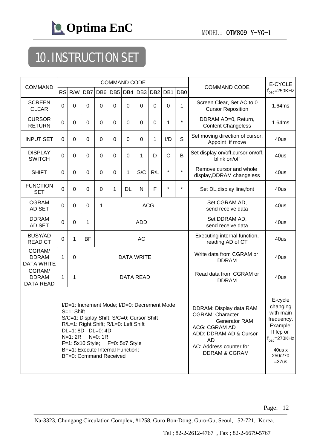

# 10. INSTRUCTION SET

| <b>COMMAND</b>                              |                |                                                                                                                                                                                                                                                                                              |                |            | <b>COMMAND CODE</b> |                                                  |                   | <b>COMMAND CODE</b>                                                                                                                                                                       | E-CYCLE                                                                                                                      |                 |                                                       |                       |
|---------------------------------------------|----------------|----------------------------------------------------------------------------------------------------------------------------------------------------------------------------------------------------------------------------------------------------------------------------------------------|----------------|------------|---------------------|--------------------------------------------------|-------------------|-------------------------------------------------------------------------------------------------------------------------------------------------------------------------------------------|------------------------------------------------------------------------------------------------------------------------------|-----------------|-------------------------------------------------------|-----------------------|
|                                             | <b>RS</b>      | R/W                                                                                                                                                                                                                                                                                          | DB7            |            | DB6 DB5             | DB4                                              | DB <sub>3</sub>   | DB <sub>2</sub>                                                                                                                                                                           | DB1                                                                                                                          | DB <sub>0</sub> |                                                       | $f_{\rm osc}$ =250KHz |
| <b>SCREEN</b><br><b>CLEAR</b>               | $\overline{0}$ | $\mathbf 0$                                                                                                                                                                                                                                                                                  | 0              | 0          | $\Omega$            | 0                                                | $\Omega$          | 0                                                                                                                                                                                         | $\mathbf 0$                                                                                                                  | 1               | Screen Clear, Set AC to 0<br><b>Cursor Reposition</b> | 1.64ms                |
| <b>CURSOR</b><br><b>RETURN</b>              | 0              | $\mathbf 0$                                                                                                                                                                                                                                                                                  | $\mathbf 0$    | 0          | $\mathbf 0$         | $\mathbf 0$                                      | $\mathbf 0$       | 0                                                                                                                                                                                         | 1                                                                                                                            | $\star$         | DDRAM AD=0, Return,<br><b>Content Changeless</b>      | 1.64ms                |
| <b>INPUT SET</b>                            | $\Omega$       | $\mathbf 0$                                                                                                                                                                                                                                                                                  | $\mathbf 0$    | 0          | $\mathbf 0$         | $\mathbf 0$                                      | 0                 | 1                                                                                                                                                                                         | I/D                                                                                                                          | S               | Set moving direction of cursor,<br>Appoint if move    | 40us                  |
| <b>DISPLAY</b><br><b>SWITCH</b>             | $\Omega$       | $\mathbf 0$                                                                                                                                                                                                                                                                                  | $\overline{0}$ | 0          | $\mathbf 0$         | $\mathbf 0$                                      | 1                 | D                                                                                                                                                                                         | $\mathsf C$                                                                                                                  | B               | Set display on/off, cursor on/off,<br>blink on/off    | 40us                  |
| <b>SHIFT</b>                                | $\mathbf 0$    | $\mathbf 0$                                                                                                                                                                                                                                                                                  | $\mathbf 0$    | 0          | $\mathbf 0$         | 1                                                | S/C               | R/L                                                                                                                                                                                       | $\star$                                                                                                                      | $\star$         | Remove cursor and whole<br>display, DDRAM changeless  | 40us                  |
| <b>FUNCTION</b><br><b>SET</b>               | $\mathbf 0$    | $\mathbf 0$                                                                                                                                                                                                                                                                                  | $\overline{0}$ | 0          | 1                   | <b>DL</b>                                        | N                 | F                                                                                                                                                                                         | $\star$                                                                                                                      | $\star$         | Set DL, display line, font                            | 40us                  |
| <b>CGRAM</b><br>AD SET                      | $\Omega$       | 0                                                                                                                                                                                                                                                                                            | $\mathbf 0$    | 1          |                     |                                                  |                   | <b>ACG</b>                                                                                                                                                                                |                                                                                                                              |                 | Set CGRAM AD,<br>send receive data                    | 40us                  |
| <b>DDRAM</b><br>AD SET                      | $\mathbf 0$    | $\mathbf 0$                                                                                                                                                                                                                                                                                  | 1              | <b>ADD</b> |                     | Set DDRAM AD,<br>send receive data               | 40us              |                                                                                                                                                                                           |                                                                                                                              |                 |                                                       |                       |
| <b>BUSY/AD</b><br><b>READ CT</b>            | $\Omega$       | 1                                                                                                                                                                                                                                                                                            | <b>BF</b>      | <b>AC</b>  |                     | Executing internal function,<br>reading AD of CT | 40us              |                                                                                                                                                                                           |                                                                                                                              |                 |                                                       |                       |
| CGRAM/<br><b>DDRAM</b><br><b>DATA WRITE</b> | 1              | $\overline{0}$                                                                                                                                                                                                                                                                               |                |            |                     |                                                  | <b>DATA WRITE</b> |                                                                                                                                                                                           |                                                                                                                              |                 | Write data from CGRAM or<br><b>DDRAM</b>              | 40us                  |
| CGRAM/<br><b>DDRAM</b><br><b>DATA READ</b>  | 1              | 1                                                                                                                                                                                                                                                                                            |                |            |                     |                                                  | <b>DATA READ</b>  |                                                                                                                                                                                           |                                                                                                                              |                 | Read data from CGRAM or<br><b>DDRAM</b>               | 40us                  |
|                                             |                | I/D=1: Increment Mode; I/D=0: Decrement Mode<br>S=1: Shift<br>S/C=1: Display Shift; S/C=0: Cursor Shift<br>R/L=1: Right Shift; R/L=0: Left Shift<br>DL=1:8D DL=0:4D<br>$N=1:2R$<br>$N=0:1R$<br>F=1: 5x10 Style; F=0: 5x7 Style<br>BF=1: Execute Internal Function;<br>BF=0: Command Received |                |            |                     |                                                  |                   | DDRAM: Display data RAM<br><b>CGRAM: Character</b><br><b>Generator RAM</b><br><b>ACG: CGRAM AD</b><br>ADD: DDRAM AD & Cursor<br>AD<br>AC: Address counter for<br><b>DDRAM &amp; CGRAM</b> | E-cycle<br>changing<br>with main<br>frequency.<br>Example:<br>If fcp or<br>$f_{osc}$ =270KHz<br>40us x<br>250/270<br>$=37us$ |                 |                                                       |                       |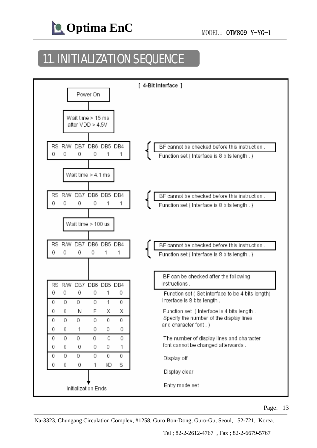

### 11. INITIALIZATION SEQUENCE



Na-3323, Chungang Circulation Complex, #1258, Guro Bon-Dong, Guro-Gu, Seoul, 152-721, Korea.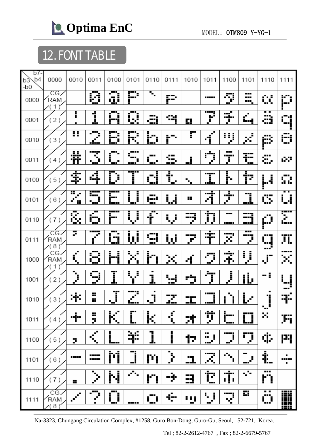# 12. FONT TABLE

| b7-               |                      |                                               |                                                         |                               |                                                                                                                                     |                                   |            |                         |                                          |                                   |                          |                 |            |
|-------------------|----------------------|-----------------------------------------------|---------------------------------------------------------|-------------------------------|-------------------------------------------------------------------------------------------------------------------------------------|-----------------------------------|------------|-------------------------|------------------------------------------|-----------------------------------|--------------------------|-----------------|------------|
| b4<br>b3<br>$-b0$ | 0000                 | 0010                                          | 0011                                                    | 0100                          | 0101                                                                                                                                | 0110                              | 0111       | 1010                    | 1011                                     | 1100                              | 1101                     | 1110            | 1111       |
| 0000              | CG<br>RAM<br>1       |                                               | , ma<br>Ø                                               | œ<br><u>a</u>                 | P                                                                                                                                   | $\overline{\mathbf{S}}_{\bullet}$ | P          |                         | <b></b>                                  | 5<br>--                           | ---<br>.<br>₩.           | œ               | ۳.         |
| 0001              | (2)                  | i                                             | <u>i</u>                                                | --                            | Q                                                                                                                                   | æ                                 | 숵          | 0                       | <b>TETEL</b><br>F<br>Ľ                   | нj.,<br>J                         | $\mathcal{C}$<br>إسا     | . .<br>æ        | <u>":</u>  |
| 0010              | (3)                  | π                                             | اڻي<br>اٺي                                              | B                             | R                                                                                                                                   | b                                 | ۲ī         | Г                       | ď                                        | ņ<br>I.                           | н<br>p.                  | Æ               | Ĥ          |
| 0011              | (4)                  | 菲                                             | Į<br>$\mathbf{r}_\mathrm{eff}$                          | ٠                             |                                                                                                                                     | œ<br>$\blacksquare$               | Œ,         | <u>i</u>                | $\bar{\mathbb{Q}}$ .                     | ---<br>wyw<br>Ĵ                   | ŦE<br>ॱ▖▄                | æ,              | 63         |
| 0100              | (5)<br>$\mathcal{E}$ | \$                                            | 4                                                       | Ĺ<br>Ĵ                        | T                                                                                                                                   | $\frac{1}{2}$<br>Û                | t<br>×     | $\mathbf{r}_\mathrm{p}$ | -----<br>İ<br>min                        | ļ.                                | Þ                        | IJ              | Ω          |
| 0101              | (6)<br>$\lambda$     | H<br>e.<br>ý.<br>$\mathbf{H}$                 | ₩<br>Ĵ<br>۰.,                                           | - 1<br><u>i—</u><br><u>i—</u> | İ<br>į                                                                                                                              | gilia.<br>Ngjarje                 | <u>i J</u> | ÷                       | <br>Ą                                    | $\frac{1}{2}$                     | <u>]]</u>                | œ               | . .<br>Ų   |
| 0110              | (7)                  | Š.                                            | $\overline{\mathbf{r}^{\mathbf{u}}}$<br>ŀŋ<br>ني 1      | تتضير<br>j mu                 | Ų                                                                                                                                   | f                                 | Ų          | ÿ                       | ij                                       | ---<br><b>.</b> .                 | ₩<br><u>uni</u>          | Ŏ               | Ŧ.         |
| 0111              | CG<br>RAM<br>(8)     | 7                                             | <b>THE</b><br>Ŷ                                         | -4                            | ļ<br>Ļ,                                                                                                                             | ą                                 | Ļ.         | P                       | mjor<br>uju                              | my<br>×                           | H<br>mų<br>$\mathcal{E}$ | Œ               | TI.        |
| 1000              | CG<br>RAM<br>1       | Ē                                             | Ø                                                       | Ī.                            | F                                                                                                                                   | h                                 | ×          | ٠<br>4                  | P)<br>$\mathbf{e}^{\mathbf{r}^{\prime}}$ | Ŧ                                 | Ĵ<br>L                   | ---<br>g—<br>Ą, | æ.         |
| 1001              | (2)                  | þ                                             | н.<br>9                                                 | Ī                             | Ĵ,<br>ĵ                                                                                                                             | ٠<br>Ĵ.                           | W<br>ш.    | ÷                       | Ť                                        | Į                                 | <u>il.</u>               | -:              | j          |
| 1010              | (3)                  | ÷                                             | 22<br>Η.                                                | J                             | 7<br>ĉ<br>l — 1 s                                                                                                                   | ٠<br>Ĵ<br>$\blacksquare$          | ŢŦ.<br>J., | ╍<br>--                 | <b></b><br>----                          | Ï<br>i                            | O<br>ı.                  | Ï               |            |
| 1011              | (4)                  | j                                             | H,<br>þ,                                                | K                             | Ē                                                                                                                                   | $\overline{\mathbb{R}}$           | <u>{</u>   | 球                       | Ţ                                        | <b>T</b><br>'----                 | <u> "1</u>               | --<br>×         | Fi         |
| 1100              | (5)                  | p                                             | $\mathcal{F}$<br>$\mathbf{r}_\mathrm{a}$                | <u> </u><br>!…                | ¥                                                                                                                                   | <u>]</u>                          | l          | Þ                       | <br>j<br>ш<br>æ.                         | ""<br>æ,                          | ņ                        | ¢               | P          |
| 1101              | (6)                  | -----                                         | ----<br>----                                            | M                             | ׇ֡֘֘֝֘ <u>֚</u> ֪ׅׅׅׅׅׅׅׅ֪֦ׅׅׅׅ֧ׅׅׅׅׅ֧ׅ֧ׅ֧֪ׅ֪ׅ֪ׅׅ֛ׅ֛ׅ֧ׅ֧ׅ֧ׅ֧ׅ֧ׅ֧ׅ֧ׅ֧ׅ֧֧֧֛֚֚֚֚֘֘֩֘֘֘֝֘֘֝֘֘֡֘֘֝֘֡֘֝֘֝֘֝֘֝֘֘֘֘֝֘֝֘֝֘֝֡֘֝֘֘֘֟֟֡֟֡֟֘֘֘֡֟ | P                                 | þ          | 5                       | X                                        | $\mathcal{D}_{\mathbf{u}_i}$<br>T | <br>J.<br>---            | t.              | ٠<br>      |
| 1110              | (7)<br>)             | ÷                                             | $\mathcal{F}_{\mathbf{p}}$<br>$\mathbf{r}^{\mathbf{r}}$ | N                             | Ñ.                                                                                                                                  | h,                                | ÷          | 국                       | È                                        | <br>ij,                           | $\sqrt{s}$               | <b>.</b><br>h   |            |
| 1111              | CG,<br>RAM<br>(8)    | $\blacksquare$<br>$\mathcal{F}^{\mathcal{C}}$ | $\overline{\mathbb{C}}$                                 | ٦<br>ſ<br>œ                   | <b>.</b>                                                                                                                            | "i<br>- 1                         | ÷          | 88 j                    | ۱.<br>i<br>×<br>▬                        | 77<br>X                           | H                        | . .<br>O        | <b>THE</b> |

Na-3323, Chungang Circulation Complex, #1258, Guro Bon-Dong, Guro-Gu, Seoul, 152-721, Korea.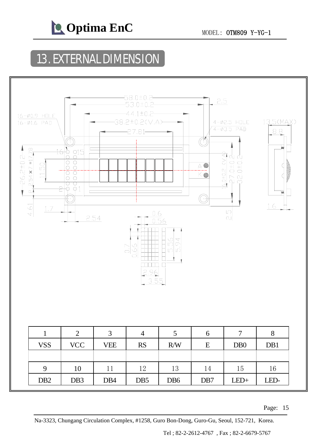

### 13. EXTERNAL DIMENSION



Page: 15

Na-3323, Chungang Circulation Complex, #1258, Guro Bon-Dong, Guro-Gu, Seoul, 152-721, Korea.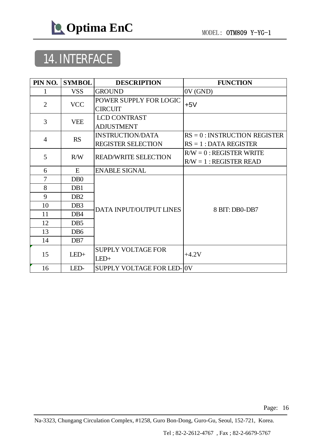

## 14. INTERFACE

| PIN NO.        | <b>SYMBOL</b>    | <b>DESCRIPTION</b>                       | <b>FUNCTION</b>                                         |  |  |  |
|----------------|------------------|------------------------------------------|---------------------------------------------------------|--|--|--|
| 1              | <b>VSS</b>       | <b>GROUND</b>                            | 0V(GND)                                                 |  |  |  |
| $\overline{2}$ | <b>VCC</b>       | POWER SUPPLY FOR LOGIC<br><b>CIRCUIT</b> | $+5V$                                                   |  |  |  |
| 3              | <b>VEE</b>       | <b>LCD CONTRAST</b><br><b>ADJUSTMENT</b> |                                                         |  |  |  |
| $\overline{4}$ | <b>RS</b>        | <b>INSTRUCTION/DATA</b>                  | $RS = 0$ : INSTRUCTION REGISTER                         |  |  |  |
|                |                  | <b>REGISTER SELECTION</b>                | $RS = 1$ : DATA REGISTER                                |  |  |  |
| 5              | R/W              | <b>READ/WRITE SELECTION</b>              | $R/W = 0$ : REGISTER WRITE<br>$R/W = 1$ : REGISTER READ |  |  |  |
| 6              | E                | <b>ENABLE SIGNAL</b>                     |                                                         |  |  |  |
| $\overline{7}$ | D <sub>B</sub> 0 |                                          |                                                         |  |  |  |
| 8              | D <sub>B1</sub>  |                                          |                                                         |  |  |  |
| 9              | D <sub>B2</sub>  |                                          |                                                         |  |  |  |
| 10             | DB <sub>3</sub>  | DATA INPUT/OUTPUT LINES                  | 8 BIT: DB0-DB7                                          |  |  |  |
| 11             | DB <sub>4</sub>  |                                          |                                                         |  |  |  |
| 12             | DB <sub>5</sub>  |                                          |                                                         |  |  |  |
| 13             | D <sub>B6</sub>  |                                          |                                                         |  |  |  |
| 14             | D <sub>B7</sub>  |                                          |                                                         |  |  |  |
| 15             | $LED+$           | <b>SUPPLY VOLTAGE FOR</b><br>$LED+$      | $+4.2V$                                                 |  |  |  |
| 16             | LED-             | <b>SUPPLY VOLTAGE FOR LED-</b>           | 0V                                                      |  |  |  |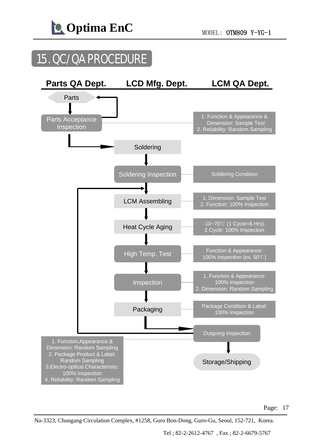

### 15. QC/QA PROCEDURE



Na-3323, Chungang Circulation Complex, #1258, Guro Bon-Dong, Guro-Gu, Seoul, 152-721, Korea.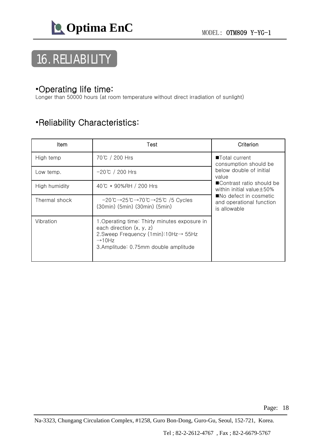

# 16. RELIABILITY

#### •Operating life time:

Longer than 50000 hours (at room temperature without direct irradiation of sunlight)

#### •Reliability Characteristics:

| ltem          | Test                                                                                                                                                                                           | Criterion                                                          |
|---------------|------------------------------------------------------------------------------------------------------------------------------------------------------------------------------------------------|--------------------------------------------------------------------|
| High temp     | 70℃ / 200 Hrs                                                                                                                                                                                  | ■Total current<br>consumption should be                            |
| Low temp.     | $-20^{\circ}$ C / 200 Hrs                                                                                                                                                                      | below double of initial<br>value                                   |
| High humidity | 40℃ * 90%RH / 200 Hrs                                                                                                                                                                          | ■Contrast ratio should be<br>within initial value $\pm$ 50%        |
| Thermal shock | $-20^{\circ}C \rightarrow 25^{\circ}C \rightarrow 70^{\circ}C \rightarrow 25^{\circ}C$ /5 Cycles<br>(30min) (5min) (30min) (5min)                                                              | ■No defect in cosmetic<br>and operational function<br>is allowable |
| Vibration     | 1.Operating time: Thirty minutes exposure in<br>each direction $(x, y, z)$<br>2. Sweep Frequency (1min): $10Hz \rightarrow 55Hz$<br>$\rightarrow$ 10Hz<br>3.Amplitude: 0.75mm double amplitude |                                                                    |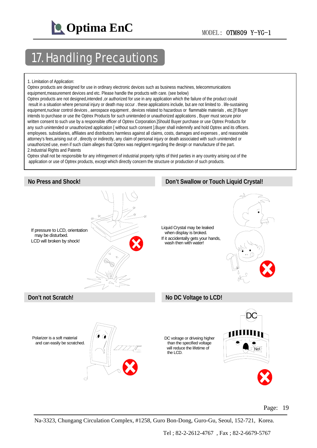

### 17. Handling Precautions

#### 1. Limitation of Application:

Optrex products are designed for use in ordinary electronic devices such as business machines, telecommunications equipment,measurement devices and etc. Please handle the products with care. (see below)

Optrex products are not designed,intended ,or authorized for use in any application which the failure of the product could result in a situation where personal injury or death may occur . these applications include, but are not limited to . life-sustaining equipment,nuclear control devices , aerospace equipment , devices related to hazardous or flammable materials , etc.[If Buyer intends to purchase or use the Optrex Products for such unintended or unauthorized applications , Buyer must secure prior written consent to such use by a responsible officer of Optrex Corporation.]Should Buyer purchase or use Optrex Products for any such unintended or unauthorized application [ without such consent ].Buyer shall indemnify and hold Optrex and its officers. employees. subsidiaries, affiliates and distributors harmless against all claims, costs, damages and expenses , and reasonable attorney's fees,arising out of , directly or indirectly, any claim of personal injury or death associated with such unintended or unauthorized use, even if such claim alleges that Optrex was negligent regarding the design or manufacture of the part. 2.Industrial Rights and Patents

Optrex shall not be responsible for any infringement of industrial property rights of third parties in any country arising out of the application or use of Optrex products, except which directly concern the structure or production of such products.



Page: 19

Na-3323, Chungang Circulation Complex, #1258, Guro Bon-Dong, Guro-Gu, Seoul, 152-721, Korea.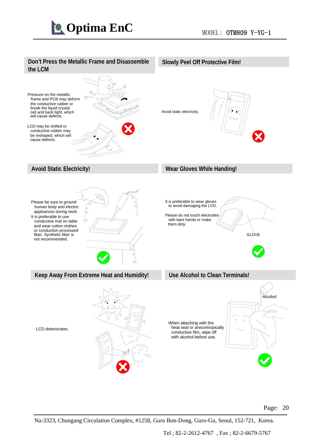#### **Don't Press the Metallic Frame and Disassemble the LCM**



#### **Slowly Peel Off Protective Film!**

Avoid static electricity.





#### **Use Alcohol to Clean Terminals!**



LCD deteriorates.



#### Page: 20

Na-3323, Chungang Circulation Complex, #1258, Guro Bon-Dong, Guro-Gu, Seoul, 152-721, Korea.